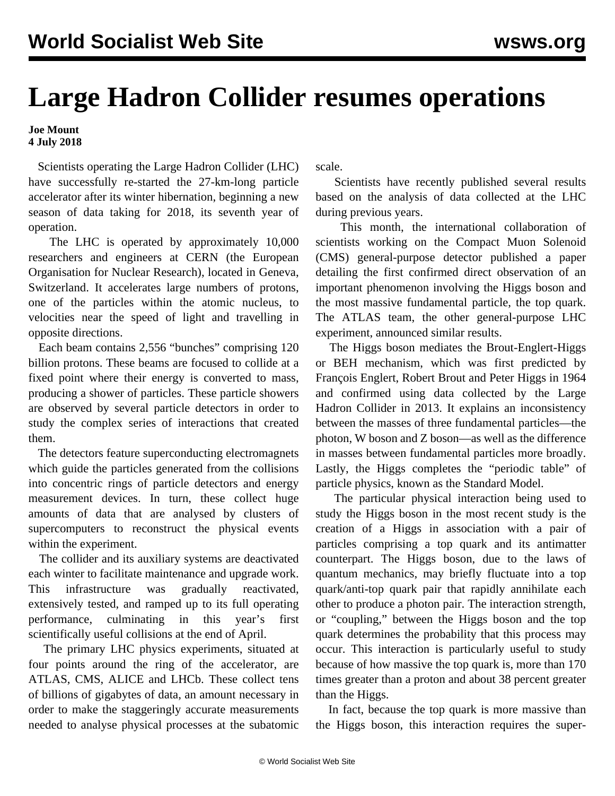## **Large Hadron Collider resumes operations**

## **Joe Mount 4 July 2018**

 Scientists operating the Large Hadron Collider (LHC) have successfully re-started the 27-km-long particle accelerator after its winter hibernation, beginning a new season of data taking for 2018, its seventh year of operation.

 The LHC is operated by approximately 10,000 researchers and engineers at CERN (the European Organisation for Nuclear Research), located in Geneva, Switzerland. It accelerates large numbers of protons, one of the particles within the atomic nucleus, to velocities near the speed of light and travelling in opposite directions.

 Each beam contains 2,556 "bunches" comprising 120 billion protons. These beams are focused to collide at a fixed point where their energy is converted to mass, producing a shower of particles. These particle showers are observed by several particle detectors in order to study the complex series of interactions that created them.

 The detectors feature superconducting electromagnets which guide the particles generated from the collisions into concentric rings of particle detectors and energy measurement devices. In turn, these collect huge amounts of data that are analysed by clusters of supercomputers to reconstruct the physical events within the experiment.

 The collider and its auxiliary systems are deactivated each winter to facilitate maintenance and upgrade work. This infrastructure was gradually reactivated, extensively tested, and ramped up to its full operating performance, culminating in this year's first scientifically useful collisions at the end of April.

 The primary LHC physics experiments, situated at four points around the ring of the accelerator, are ATLAS, CMS, ALICE and LHCb. These collect tens of billions of gigabytes of data, an amount necessary in order to make the staggeringly accurate measurements needed to analyse physical processes at the subatomic scale.

 Scientists have recently published several results based on the analysis of data collected at the LHC during previous years.

 This month, the international collaboration of scientists working on the Compact Muon Solenoid (CMS) general-purpose detector published a paper detailing the first confirmed direct observation of an important phenomenon involving the Higgs boson and the most massive fundamental particle, the top quark. The ATLAS team, the other general-purpose LHC experiment, announced similar results.

 The Higgs boson mediates the Brout-Englert-Higgs or BEH mechanism, which was first predicted by François Englert, Robert Brout and Peter Higgs in 1964 and [confirmed using data collected by](/en/articles/2013/03/23/higg-m23.html) the Large Hadron Collider in 2013. It explains an inconsistency between the masses of three fundamental particles—the photon, W boson and Z boson—as well as the difference in masses between fundamental particles more broadly. Lastly, the Higgs completes the "periodic table" of particle physics, known as the Standard Model.

 The particular physical interaction being used to study the Higgs boson in the most recent study is the creation of a Higgs in association with a pair of particles comprising a top quark and its antimatter counterpart. The Higgs boson, due to the laws of quantum mechanics, may briefly fluctuate into a top quark/anti-top quark pair that rapidly annihilate each other to produce a photon pair. The interaction strength, or "coupling," between the Higgs boson and the top quark determines the probability that this process may occur. This interaction is particularly useful to study because of how massive the top quark is, more than 170 times greater than a proton and about 38 percent greater than the Higgs.

 In fact, because the top quark is more massive than the Higgs boson, this interaction requires the super